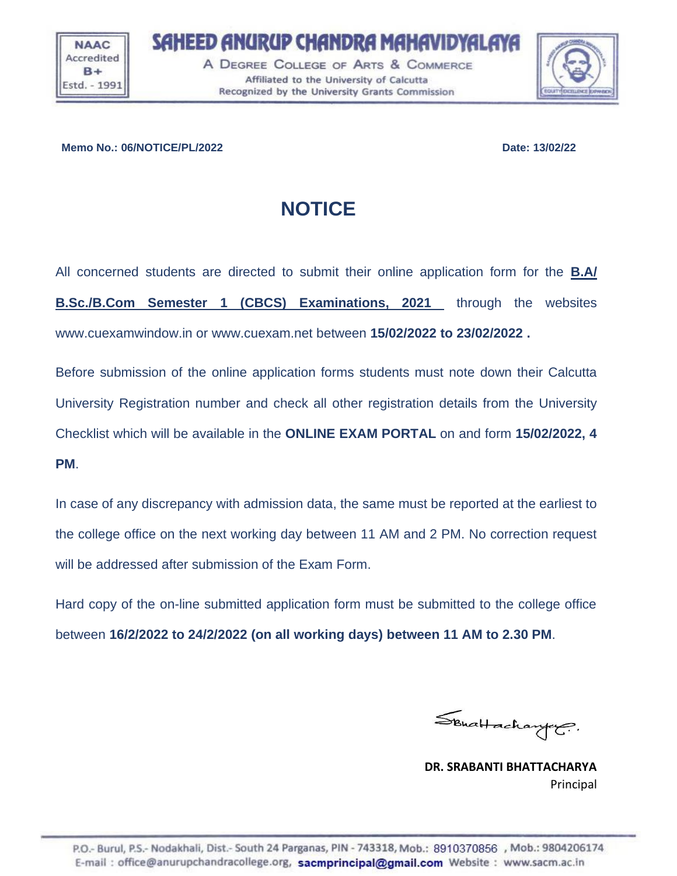**NAAC** Accredited  $R +$ Estd. - 1991 SAHEED ANURUP CHANDRA MAHAVIDYALAYA

A DEGREE COLLEGE OF ARTS & COMMERCE Affiliated to the University of Calcutta Recognized by the University Grants Commission



## **Memo No.: 06/NOTICE/PL/2022 Date: 13/02/22**

## **NOTICE**

All concerned students are directed to submit their online application form for the **B.A/ B.Sc./B.Com Semester 1 (CBCS) Examinations, 2021** through the websites www.cuexamwindow.in or www.cuexam.net between **15/02/2022 to 23/02/2022 .**

Before submission of the online application forms students must note down their Calcutta University Registration number and check all other registration details from the University Checklist which will be available in the **ONLINE EXAM PORTAL** on and form **15/02/2022, 4 PM**.

In case of any discrepancy with admission data, the same must be reported at the earliest to the college office on the next working day between 11 AM and 2 PM. No correction request will be addressed after submission of the Exam Form.

Hard copy of the on-line submitted application form must be submitted to the college office between **16/2/2022 to 24/2/2022 (on all working days) between 11 AM to 2.30 PM**.

Schaltachanger.

**DR. SRABANTI BHATTACHARYA** Principal